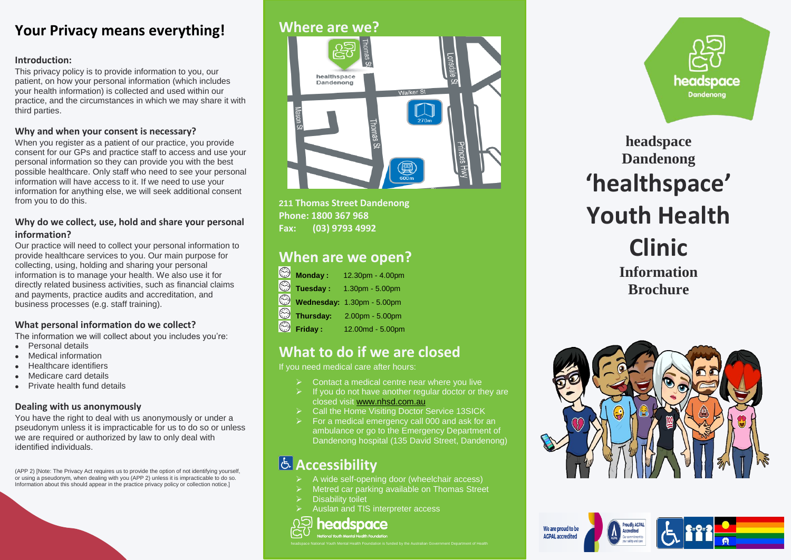## **Your Privacy means everything!**

#### **Introduction:**

This privacy policy is to provide information to you, our patient, on how your personal information (which includes your health information) is collected and used within our practice, and the circumstances in which we may share it with third parties.

#### **Why and when your consent is necessary?**

When you register as a patient of our practice, you provide consent for our GPs and practice staff to access and use your personal information so they can provide you with the best possible healthcare. Only staff who need to see your personal information will have access to it. If we need to use your information for anything else, we will seek additional consent from you to do this.

#### **Why do we collect, use, hold and share your personal information?**

Our practice will need to collect your personal information to provide healthcare services to you. Our main purpose for collecting, using, holding and sharing your personal information is to manage your health. We also use it for directly related business activities, such as financial claims and payments, practice audits and accreditation, and business processes (e.g. staff training).

#### **What personal information do we collect?**

The information we will collect about you includes you're:

- **•** Personal details
- Medical information
- Healthcare identifiers
- Medicare card details
- Private health fund details

#### **Dealing with us anonymously**

You have the right to deal with us anonymously or under a pseudonym unless it is impracticable for us to do so or unless we are required or authorized by law to only deal with identified individuals.

(APP 2) [Note: The Privacy Act requires us to provide the option of not identifying yourself, or using a pseudonym, when dealing with you (APP 2) unless it is impracticable to do so. Information about this should appear in the practice privacy policy or collection notice.]

#### **Where are we?**



**211 Thomas Street Dandenong Phone: 1800 367 968 Fax: (03) 9793 4992**

# **When are we open?**

|         | $\color{red}\mathop{\otimes}$ Monday :                                                                                                              | 12.30pm - 4.00pm           |
|---------|-----------------------------------------------------------------------------------------------------------------------------------------------------|----------------------------|
|         | $\color{red}\mathop{\otimes}\limits^{\mathop{\mathbb{C}}}% \mathop{\mathbb{C}}\limits_{\mathop{\mathbb{C}}\limits^{\mathop{\mathbb{C}}}}$ Tuesday : | 1.30pm - 5.00pm            |
|         |                                                                                                                                                     | Wednesday: 1.30pm - 5.00pm |
| $\odot$ | Thursday:                                                                                                                                           | 2.00pm - 5.00pm            |
| $\odot$ | Friday:                                                                                                                                             | 12.00md - 5.00pm           |

## **What to do if we are closed**

If you need medical care after hours:

- Contact a medical centre near where you live
- If you do not have another regular doctor or they are closed visit [www.nhsd.com.au](http://www.nhsd.com.au/)
- Call the Home Visiting Doctor Service 13SICK
- For a medical emergency call 000 and ask for an ambulance or go to the Emergency Department of Dandenong hospital (135 David Street, Dandenong)

# **Accessibility**

- A wide self-opening door (wheelchair access)
- Metred car parking available on Thomas Street
- Disability toilet
- Auslan and TIS interpreter access



headspace National Youth Mental Health Foundation is funded by the Australian Government Department of Health



**headspace Dandenong 'healthspace' Youth Health Clinic Information Brochure**